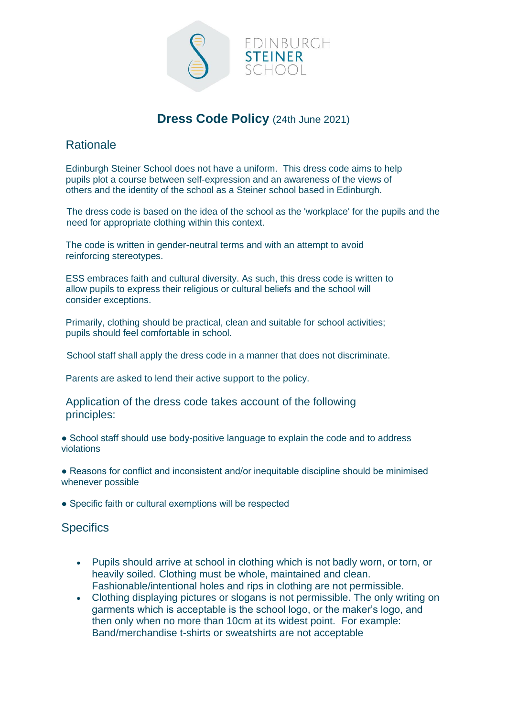

## **Dress Code Policy** (24th June 2021)

## **Rationale**

Edinburgh Steiner School does not have a uniform. This dress code aims to help pupils plot a course between self-expression and an awareness of the views of others and the identity of the school as a Steiner school based in Edinburgh.

 The dress code is based on the idea of the school as the 'workplace' for the pupils and the need for appropriate clothing within this context.

The code is written in gender-neutral terms and with an attempt to avoid reinforcing stereotypes.

ESS embraces faith and cultural diversity. As such, this dress code is written to allow pupils to express their religious or cultural beliefs and the school will consider exceptions.

Primarily, clothing should be practical, clean and suitable for school activities; pupils should feel comfortable in school.

School staff shall apply the dress code in a manner that does not discriminate.

Parents are asked to lend their active support to the policy.

Application of the dress code takes account of the following principles:

• School staff should use body-positive language to explain the code and to address violations

● Reasons for conflict and inconsistent and/or inequitable discipline should be minimised whenever possible

● Specific faith or cultural exemptions will be respected

## **Specifics**

- Pupils should arrive at school in clothing which is not badly worn, or torn, or heavily soiled. Clothing must be whole, maintained and clean. Fashionable/intentional holes and rips in clothing are not permissible.
- Clothing displaying pictures or slogans is not permissible. The only writing on garments which is acceptable is the school logo, or the maker's logo, and then only when no more than 10cm at its widest point. For example: Band/merchandise t-shirts or sweatshirts are not acceptable